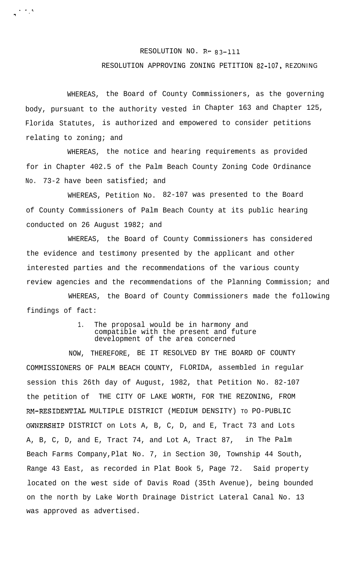## RESOLUTION NO. R- 83-111

## RESOLUTION APPROVING ZONING PETITION 82-107, REZONING

WHEREAS, the Board of County Commissioners, as the governing body, pursuant to the authority vested in Chapter 163 and Chapter 125, Florida Statutes, is authorized and empowered to consider petitions relating to zoning; and

. - . :<br>:

9

WHEREAS, the notice and hearing requirements as provided for in Chapter 402.5 of the Palm Beach County Zoning Code Ordinance No. 73-2 have been satisfied; and

WHEREAS, Petition No. 82-107 was presented to the Board of County Commissioners of Palm Beach County at its public hearing conducted on 26 August 1982; and

WHEREAS, the Board of County Commissioners has considered the evidence and testimony presented by the applicant and other interested parties and the recommendations of the various county review agencies and the recommendations of the Planning Commission; and

WHEREAS, the Board of County Commissioners made the following findings of fact:

## 1. The proposal would be in harmony and compatible with the present and future development of the area concerned

NOW, THEREFORE, BE IT RESOLVED BY THE BOARD OF COUNTY COMMISSIONERS OF PALM BEACH COUNTY, FLORIDA, assembled in regular session this 26th day of August, 1982, that Petition No. 82-107 the petition of THE CITY OF LAKE WORTH, FOR THE REZONING, FROM RM-RESIDENTIAL MULTIPLE DISTRICT (MEDIUM DENSITY) TO PO-PUBLIC OWNERSHIP DISTRICT on Lots A, B, C, D, and E, Tract 73 and Lots A, B, C, D, and E, Tract 74, and Lot A, Tract 87, in The Palm Beach Farms Company,Plat No. 7, in Section 30, Township 44 South, Range 43 East, as recorded in Plat Book 5, Page 72. Said property located on the west side of Davis Road (35th Avenue), being bounded on the north by Lake Worth Drainage District Lateral Canal No. 13 was approved as advertised.